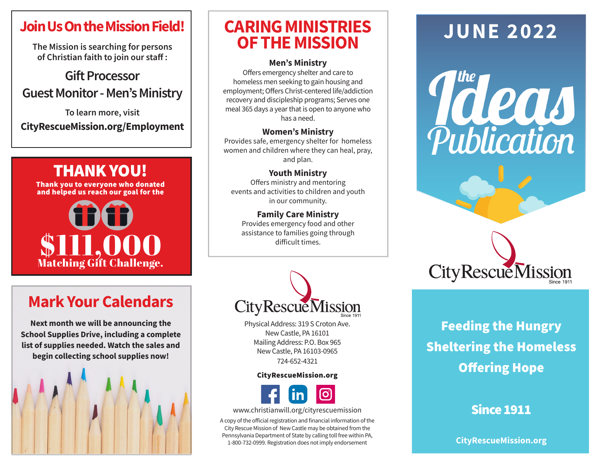## **Join Us On the Mission Field!**

**The Mission is searching for persons of Christian faith to join our staff :** 

#### **Gift Processor Guest Monitor - Men's Ministry**

**To learn more, visit CityRescueMission.org/Employment**

## THANK YOU! Thank you to everyone who donated and helped us reach our goal for the



# **Mark Your Calendars**

**Next month we will be announcing the School Supplies Drive, including a complete list of supplies needed. Watch the sales and begin collecting school supplies now!**



## **CARING MINISTRIES OF THE MISSION**

#### **Men's Ministry**

Offers emergency shelter and care to homeless men seeking to gain housing and employment; Offers Christ-centered life/addiction recovery and discipleship programs; Serves one meal 365 days a year that is open to anyone who has a need.

#### **Women's Ministry**

Provides safe, emergency shelter for homeless women and children where they can heal, pray, and plan.

#### **Youth Ministry**

Offers ministry and mentoring events and activities to children and youth in our community.

#### **Family Care Ministry** Provides emergency food and other assistance to families going through difficult times.



Physical Address: 319 S Croton Ave. New Castle, PA 16101 Mailing Address: P.O. Box 965 New Castle, PA 16103-0965 724-652-4321

#### CityRescueMission.org



www.christianwill.org/cityrescuemission

A copy of the official registration and financial information of the City Rescue Mission of New Castle may be obtained from the Pennsylvania Department of State by calling toll free within PA, 1-800-732-0999. Registration does not imply endorsement

# **JUNE 2022**





# Feeding the Hungry Sheltering the Homeless Offering Hope

#### Since 1911

**CityRescueMission.org**